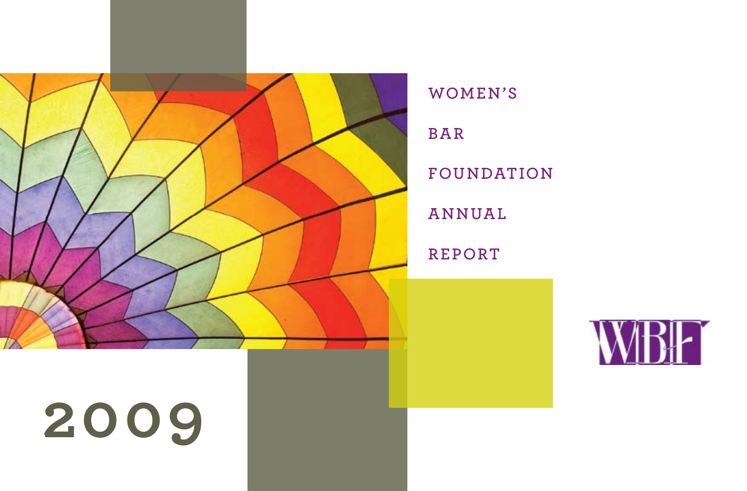

**WOMEN'S**

**BAR**

**FOUNDATION**

**Annual**

**Report**



# **2009**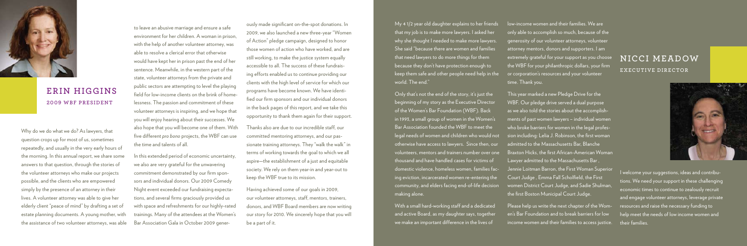to leave an abusive marriage and ensure a safe environment for her children. A woman in prison, with the help of another volunteer attorney, was able to resolve a clerical error that otherwise would have kept her in prison past the end of her sentence. Meanwhile, in the western part of the state, volunteer attorneys from the private and public sectors are attempting to level the playing field for low-income clients on the brink of homelessness. The passion and commitment of these volunteer attorneys is inspiring, and we hope that you will enjoy hearing about their successes. We also hope that you will become one of them. With five different *pro bono* projects, the WBF can use the time and talents of all.

In this extended period of economic uncertainty, we also are very grateful for the unwavering commitment demonstrated by our firm sponsors and individual donors. Our 2009 Comedy Night event exceeded our fundraising expectations, and several firms graciously provided us with space and refreshments for our highly-rated trainings. Many of the attendees at the Women's Bar Association Gala in October 2009 gener-

Why do we do what we do? As lawyers, that question crops up for most of us, sometimes repeatedly, and usually in the very early hours of the morning. In this annual report, we share some answers to that question, through the stories of the volunteer attorneys who make our projects possible, and the clients who are empowered simply by the presence of an attorney in their lives. A volunteer attorney was able to give her elderly client "peace of mind" by drafting a set of estate planning documents. A young mother, with the assistance of two volunteer attorneys, was able

Iow-income women and their families. We are only able to accomplish so much, because of the generosity of our volunteer attorneys, volunteer attorney mentors, donors and supporters. I am extremely grateful for your support as you choose the WBF for your philanthropic dollars, your firm or corporation's resources and your volunteer time. Thank you. This year marked a new Pledge Drive for the WBF. Our pledge drive served a dual purpose as we also told the stories about the accomplishments of past women lawyers – individual women

My 4 1/2 year old daughter explains to her friends that my job is to make more lawyers. I asked her why she thought I needed to make more lawyers. She said "because there are women and families that need lawyers to do more things for them because they don't have protection enough to keep them safe and other people need help in the world. The end."

Only that's not the end of the story, it's just the beginning of my story as the Executive Director of the Women's Bar Foundation (WBF). Back in 1993, a small group of women in the Women's Bar Association founded the WBF to meet the legal needs of women and children who would not otherwise have access to lawyers. Since then, our volunteers, mentors and trainers number over one thousand and have handled cases for victims of domestic violence, homeless women, families facing eviction, incarcerated women re-entering the community, and elders facing end-of-life decision making alone.

With a small hard-working staff and a dedicated and active Board, as my daughter says, together we make an important difference in the lives of

who broke barriers for women in the legal profession including: Lelia J. Robinson, the first woman admitted to the Massachusetts Bar, Blanche Braxton Hicks, the first African-American Woman Lawyer admitted to the Massachusetts Bar , Jennie Loitman Barron, the First Woman Superior Court Judge , Emma Fall Scholfield, the First women District Court Judge, and Sadie Shulman, the first Boston Municipal Court Judge.

Please help us write the next chapter of the Women's Bar Foundation and to break barriers for low income women and their families to access justice.

ously made significant on-the-spot donations. In 2009, we also launched a new three-year "Women of Action" pledge campaign, designed to honor those women of action who have worked, and are still working, to make the justice system equally accessible to all. The success of these fundraising efforts enabled us to continue providing our clients with the high level of service for which our programs have become known. We have identified our firm sponsors and our individual donors in the back pages of this report, and we take this opportunity to thank them again for their support.

Thanks also are due to our incredible staff, our committed mentoring attorneys, and our passionate training attorneys. They "walk the walk" in terms of working towards the goal to which we all aspire—the establishment of a just and equitable society. We rely on them year-in and year-out to keep the WBF true to its mission.

Having achieved some of our goals in 2009, our volunteer attorneys, staff, mentors, trainers, donors, and WBF Board members are now writing our story for 2010. We sincerely hope that you will be a part of it.

I welcome your suggestions, ideas and contributions. We need your support in these challenging economic times to continue to zealously recruit and engage volunteer attorneys, leverage private resources and raise the necessary funding to help meet the needs of low income women and their families.



## **Erin Higgins 2009 WBF President**

## **nicci meadow executive director**

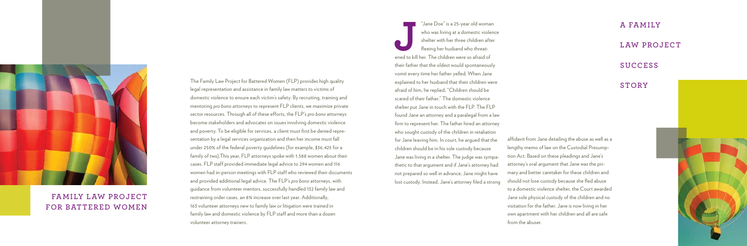The Family Law Project for Battered Women (FLP) provides high quality legal representation and assistance in family law matters to victims of domestic violence to ensure each victim's safety. By recruiting, training and mentoring *pro bono* attorneys to represent FLP clients, we maximize private sector resources. Through all of these efforts, the FLP's *pro bono* attorneys become stakeholders and advocates on issues involving domestic violence and poverty. To be eligible for services, a client must first be denied representation by a legal services organization and then her income must fall under 250% of the federal poverty guidelines (for example, \$36,425 for a family of two).This year, FLP attorneys spoke with 1,588 women about their cases. FLP staff provided immediate legal advice to 294 women and 116 women had in-person meetings with FLP staff who reviewed their documents and provided additional legal advice. The FLP's *pro bono* attorneys, with guidance from volunteer mentors, successfully handled 132 family law and restraining order cases, an 8% increase over last year. Additionally, 163 volunteer attorneys new to family law or litigation were trained in family law and domestic violence by FLP staff and more than a dozen volunteer attorney trainers.

"Jane Doe" is a 25-year old woma<br>
who was living at a domestic viole<br>
shelter with her three children after<br>
fleeing her husband who threat-<br>
ened to kill her. The children were so afraid of "Jane Doe" is a 25-year old woman who was living at a domestic violence shelter with her three children after fleeing her husband who threattheir father that the oldest would spontaneously vomit every time her father yelled. When Jane explained to her husband that their children were afraid of him, he replied, "Children should be scared of their father." The domestic violence shelter put Jane in touch with the FLP. The FLP found Jane an attorney and a paralegal from a law firm to represent her. The father hired an attorney who sought custody of the children in retaliation for Jane leaving him. In court, he argued that the children should be in his sole custody because Jane was living in a shelter. The judge was sympathetic to that argument and if Jane's attorney had not prepared so well in advance, Jane might have lost custody. Instead, Jane's attorney filed a strong

## **a family**

## **law project**

## **success**

## **story**



## **Family Law Project for battered women**

affidavit from Jane detailing the abuse as well as a lengthy memo of law on the Custodial Presumption Act. Based on these pleadings and Jane's attorney's oral argument that Jane was the primary and better caretaker for these children and should not lose custody because she fled abuse to a domestic violence shelter, the Court awarded Jane sole physical custody of the children and no visitation for the father. Jane is now living in her own apartment with her children and all are safe



from the abuser.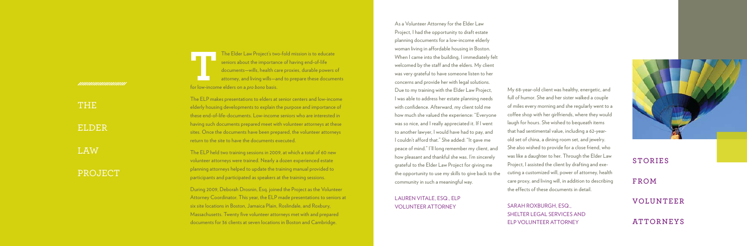The Elder Law Project's two-fold mission is to educate<br>seniors about the importance of having end-of-life<br>documents—wills, health care proxies, durable powers of<br>attorney, and living wills—and to prepare these docume<br>for l seniors about the importance of having end-of-life documents—wills, health care proxies, durable powers of attorney, and living wills—and to prepare these documents for low-income elders on a *pro bono* basis.

The ELP makes presentations to elders at senior centers and low-income elderly housing developments to explain the purpose and importance of these end-of-life-documents. Low-income seniors who are interested in having such documents prepared meet with volunteer attorneys at these sites. Once the documents have been prepared, the volunteer attorneys return to the site to have the documents executed.

The ELP held two training sessions in 2009, at which a total of 60 new volunteer attorneys were trained. Nearly a dozen experienced estate planning attorneys helped to update the training manual provided to participants and participated as speakers at the training sessions.

During 2009, Deborah Drosnin, Esq. joined the Project as the Volunteer Attorney Coordinator. This year, the ELP made presentations to seniors at six site locations in Boston, Jamaica Plain, Roslindale, and Roxbury, Massachusetts. Twenty five volunteer attorneys met with and prepared documents for 36 clients at seven locations in Boston and Cambridge.

My 68-year-old client was healthy, energetic, and full of humor. She and her sister walked a couple of miles every morning and she regularly went to a coffee shop with her girlfriends, where they would laugh for hours. She wished to bequeath items that had sentimental value, including a 62-yearold set of china, a dining room set, and jewelry. She also wished to provide for a close friend, who was like a daughter to her. Through the Elder Law Project, I assisted the client by drafting and exe cuting a customized will, power of attorney, health care proxy, and living will, in addition to describing the effects of these documents in detail.<br>SARAH ROXBURGH, ESQ.,

Shelter Legal Services and ELP VOLUNTEER ATTORNEY



As a Volunteer Attorney for the Elder Law Project, I had the opportunity to draft estate planning documents for a low-income elderly woman living in affordable housing in Boston. When I came into the building, I immediately felt welcomed by the staff and the elders. My client was very grateful to have someone listen to her concerns and provide her with legal solutions. Due to my training with the Elder Law Project, I was able to address her estate planning needs with confidence. Afterward, my client told me how much she valued the experience: "Everyone was so nice, and I really appreciated it. If I went to another lawyer, I would have had to pay, and I couldn't afford that." She added: "It gave me peace of mind." I'll long remember my client, and how pleasant and thankful she was. I'm sincerely grateful to the Elder Law Project for giving me the opportunity to use my skills to give back to the community in such a meaningful way.

Lauren Vitale, Esq., ELP Volunteer Attorney

## **Stories**

**from**

## $VOLU$

**Attorne y s**

*mmmmmmmm* 

## The

ELDER.

**LAW** 

## PROJECT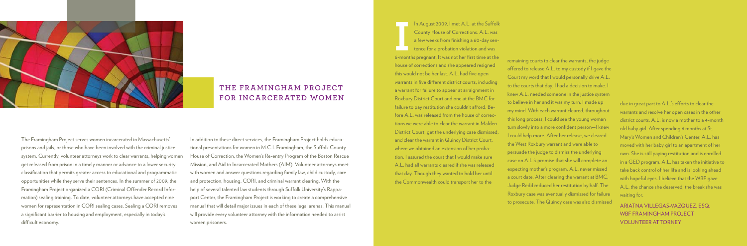The Framingham Project serves women incarcerated in Massachusetts' prisons and jails, or those who have been involved with the criminal justice system. Currently, volunteer attorneys work to clear warrants, helping women get released from prison in a timely manner or advance to a lower security classification that permits greater access to educational and programmatic opportunities while they serve their sentences. In the summer of 2009, the Framingham Project organized a CORI (Criminal Offender Record Information) sealing training. To date, volunteer attorneys have accepted nine women for representation in CORI sealing cases. Sealing a CORI removes a significant barrier to housing and employment, especially in today's difficult economy.



## **The Framingham Project for Incarcerated Women**

In addition to these direct services, the Framingham Project holds educational presentations for women in M.C.I. Framingham, the Suffolk County House of Correction, the Women's Re-entry Program of the Boston Rescue Mission, and Aid to Incarcerated Mothers (AIM). Volunteer attorneys meet with women and answer questions regarding family law, child custody, care and protection, housing, CORI, and criminal warrant clearing. With the help of several talented law students through Suffolk University's Rappaport Center, the Framingham Project is working to create a comprehensive manual that will detail major issues in each of these legal arenas. This manual will provide every volunteer attorney with the information needed to assist women prisoners.

In August 2009, I met A.L. at the Suffolk<br>County House of Corrections. A.L. was<br>a few weeks from finishing a 60-day sen-<br>tence for a probation violation and was<br>6-months pregnant. It was not her first time at the In August 2009, I met A.L. at the Suffolk County House of Corrections. A.L. was a few weeks from finishing a 60-day sentence for a probation violation and was house of corrections and she appeared resigned this would not be her last. A.L. had five open warrants in five different district courts, including a warrant for failure to appear at arraignment in Roxbury District Court and one at the BMC for failure to pay restitution she couldn't afford. Before A.L. was released from the house of corrections we were able to clear the warrant in Malden District Court, get the underlying case dismissed, and clear the warrant in Quincy District Court, where we obtained an extension of her probation. I assured the court that I would make sure A.L. had all warrants cleared if she was released that day. Though they wanted to hold her until the Commonwealth could transport her to the

remaining courts to clear the warrants, the judge offered to release A.L. to my custody if I gave the Court my word that I would personally drive A.L. to the courts that day. I had a decision to make. I knew A.L. needed someone in the justice system to believe in her and it was my turn. I made up my mind. With each warrant cleared, throughout this long process, I could see the young woman turn slowly into a more confident person—I knew I could help more. After her release, we cleared the West Roxbury warrant and were able to persuade the judge to dismiss the underlying case on A.L.'s promise that she will complete an expecting mother's program. A.L. never missed a court date. After clearing the warrant at BMC, Judge Redd reduced her restitution by half. The Roxbury case was eventually dismissed for failure to prosecute. The Quincy case was also dismissed

due in great part to A.L.'s efforts to clear the warrants and resolve her open cases in the other district courts. A.L. is now a mother to a 4-month old baby girl. After spending 6 months at St. Mary's Women and Children's Center, A.L. has moved with her baby girl to an apartment of her own. She is still paying restitution and is enrolled in a GED program. A.L. has taken the initiative to take back control of her life and is looking ahead with hopeful eyes. I believe that the WBF gave A.L. the chance she deserved; the break she was waiting for.

Ariatna Villegas-Vazquez, Esq. WBF Framingham Project Volunteer Attorney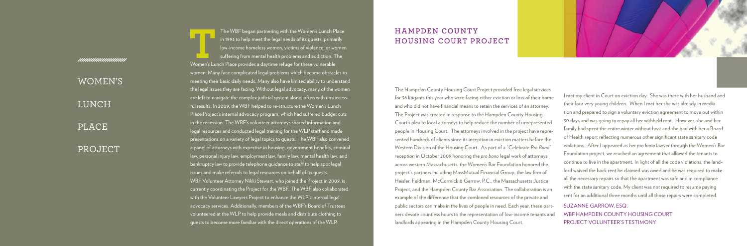WOMEN'S **LUNCH PLACE** 

*munummunum* 

PROJECT

## **Hampden County Housing Court Project**

The WBF began partnering with the Women's Lunch Place<br>
in 1993 to help meet the legal needs of its guests, primarily<br>
low-income homeless women, victims of violence, or women<br>
suffering from mental health problems and addi in 1993 to help meet the legal needs of its guests, primarily low-income homeless women, victims of violence, or women suffering from mental health problems and addiction. The women. Many face complicated legal problems which become obstacles to meeting their basic daily needs. Many also have limited ability to understand the legal issues they are facing. Without legal advocacy, many of the women are left to navigate the complex judicial system alone, often with unsuccessful results. In 2009, the WBF helped to re-structure the Women's Lunch Place Project's internal advocacy program, which had suffered budget cuts in the recession. The WBF's volunteer attorneys shared information and legal resources and conducted legal training for the WLP staff and made presentations on a variety of legal topics to guests. The WBF also convened a panel of attorneys with expertise in housing, government benefits, criminal law, personal injury law, employment law, family law, mental health law, and bankruptcy law to provide telephone guidance to staff to help spot legal issues and make referrals to legal resources on behalf of its guests. WBF Volunteer Attorney Nikki Stewart, who joined the Project in 2009, is currently coordinating the Project for the WBF. The WBF also collaborated with the Volunteer Lawyers Project to enhance the WLP's internal legal advocacy services. Additionally, members of the WBF's Board of Trustees volunteered at the WLP to help provide meals and distribute clothing to guests to become more familiar with the direct operations of the WLP.

The Hampden County Housing Court Project provided free legal services for 36 litigants this year who were facing either eviction or loss of their home and who did not have financial means to retain the services of an attorney. The Project was created in response to the Hampden County Housing Court's plea to local attorneys to help reduce the number of unrepresented people in Housing Court. The attorneys involved in the project have represented hundreds of clients since its inception in eviction matters before the Western Division of the Housing Court. As part of a "Celebrate *Pro Bono*" reception in October 2009 honoring the *pro bono* legal work of attorneys across western Massachusetts, the Women's Bar Foundation honored the project's partners including MassMutual Financial Group, the law firm of Heisler, Feldman, McCormick & Garrow, P.C., the Massachusetts Justice Project, and the Hampden County Bar Association. The collaboration is an example of the difference that the combined resources of the private and public sectors can make in the lives of people in need. Each year, these partners devote countless hours to the representation of low-income tenants and landlords appearing in the Hampden County Housing Court.



I met my client in Court on eviction day. She was there with her husband and their four very young children. When I met her she was already in mediation and prepared to sign a voluntary eviction agreement to move out within 30 days and was going to repay all her withheld rent. However, she and her family had spent the entire winter without heat and she had with her a Board of Health report reflecting numerous other significant state sanitary code violations. After I appeared as her *pro bono* lawyer through the Women's Bar Foundation project, we reached an agreement that allowed the tenants to continue to live in the apartment. In light of all the code violations, the landlord waived the back rent he claimed was owed and he was required to make all the necessary repairs so that the apartment was safe and in compliance with the state sanitary code, My client was not required to resume paying rent for an additional three months until all those repairs were completed.

Suzanne Garrow, Esq. WBF Hampden County Housing Court Project Volunteer's Testimony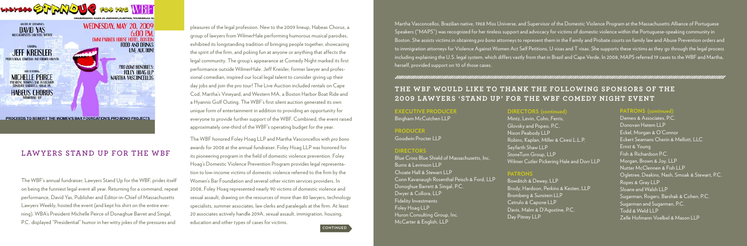**continued**

## **EXECUTIVE PRODUCER**

Bingham McCutchen LLP

**PRODUCER**

Goodwin Procter LLP

## **DIRECTORS**

Blue Cross Blue Shield of Massachusetts, Inc. Burns & Levinson LLP Choate Hall & Stewart LLP Conn Kavanaugh Rosenthal Peisch & Ford, LLP Donoghue Barrett & Singal, P.C. Dwyer & Collora, LLP Fidelity Investments Foley Hoag LLP Huron Consulting Group, Inc. McCarter & English, LLP

The WBF's annual fundraiser, Lawyers Stand Up for the WBF, prides itself on being the funniest legal event all year. Returning for a command, repeat performance, David Yas, Publisher and Editor-in-Chief of Massachusetts Lawyers Weekly, hosted the event (and kept his shirt on the entire evening). WBA's President Michelle Peirce of Donaghue Barret and Singal, P.C. displayed "Presidential" humor in her witty jokes of the pressures and

pleasures of the legal profession. New to the 2009 lineup, Habeas Chorus, a group of lawyers from WilmerHale performing humorous musical parodies, exhibited its longstanding tradition of bringing people together, showcasing the spirit of the firm, and poking fun at anyone or anything that affects the legal community. The group's appearance at Comedy Night marked its first performance outside WilmerHale. Jeff Kreisler, former lawyer and professional comedian, inspired our local legal talent to consider giving up their day jobs and join the pro tour! The Live Auction included rentals on Cape Cod, Martha's Vineyard, and Western MA, a Boston Harbor Boat Ride and a Hyannis Golf Outing. The WBF's first silent auction generated its own unique form of entertainment in addition to providing an opportunity for everyone to provide further support of the WBF. Combined, the event raised approximately one-third of the WBF's operating budget for the year.

## THE WBF WOULD LIKE TO THANK THE FOLLOWING SPONSORS OF THE **2009 Lawyers 'Stand Up' for the WBF Comedy Night Event**

The WBF honored Foley Hoag LLP and Martha Vasconcellos with *pro bono* awards for 2008 at the annual fundraiser. Foley Hoag LLP was honored for its pioneering program in the field of domestic violence prevention. Foley Hoag's Domestic Violence Prevention Program provides legal representation to low-income victims of domestic violence referred to the firm by the Women's Bar Foundation and several other victim services providers. In 2008, Foley Hoag represented nearly 90 victims of domestic violence and sexual assault, drawing on the resources of more than 80 lawyers, technology specialists, summer associates, law clerks and paralegals at the firm. At least 20 associates actively handle 209A, sexual assault, immigration, housing, education and other types of cases for victims.



## **Lawyers Stand Up for the WBF**

## **DIRECTORS (continued)**

Mintz, Levin, Cohn, Ferris, Glovsky and Popeo, P.C. Nixon Peabody LLP Robins, Kaplan, Miller & Ciresi L.L.P. Seyfarth Shaw LLP StoneTurn Group, LLP Wilmer Cutler Pickering Hale and Dorr LLP

## **PATRONS** Bowditch & Dewey, LLP Cetrulo & Capone LLP Day Pitney LLP

## 

Brody, Hardoon, Perkins & Kesten, LLP Bromberg & Sunstein LLP Davis, Malm & D'Agostine, P.C.

## **PATRONS (continued)**

Demeo & Associates, P.C. Donovan Hatem LLP Eckel, Morgan & O'Connor Eckert Seamans Cherin & Mellott, LLC Ernst & Young Fish & Richardson P.C. Morgan, Brown & Joy, LLP Nutter McClennen & Fish LLP Ogletree, Deakins, Nash, Smoak & Stewart, P.C. Ropes & Gray LLP Sloane and Walsh LLP Sugarman, Rogers, Barshak & Cohen, P.C. Sugarman and Sugarman, P.C. Todd & Weld LLP Zelle Hofmann Voelbel & Mason LLP

Martha Vasconcellos, Brazilian native, 1968 Miss Universe, and Supervisor of the Domestic Violence Program at the Massachusetts Alliance of Portuguese Speakers ("MAPS") was recognized for her tireless support and advocacy for victims of domestic violence within the Portuguese-speaking community in Boston. She assists victims in obtaining *pro bono* attorneys to represent them in the Family and Probate courts on family law and Abuse Prevention orders and to immigration attorneys for Violence Against Women Act Self Petitions, U visas and T visas. She supports these victims as they go through the legal process including explaining the U.S. legal system, which differs vastly from that in Brazil and Cape Verde. In 2008, MAPS referred 19 cases to the WBF and Martha, herself, provided support on 10 of those cases.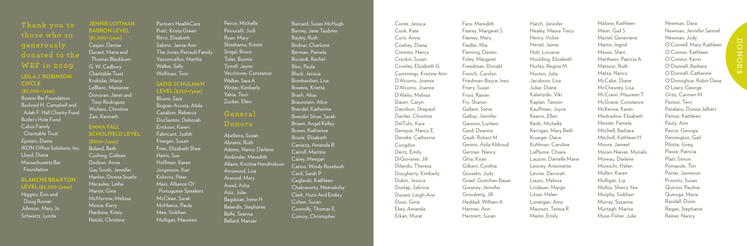**Thank** you to **those who so generously donated to the WBF in 2009 Leila J. Robin son C i r c e (\$5,000+/year)** Boston Bar Foundation Bushrod H. Campbell and Adah F. Hall Charity Fund Butler's Hole Fund Cabot Family Charitable Trust

Epstein, Elaine IKON Office Solutions, Inc. Lloyd, Diana Massachusetts Bar Foundation

**Blanche Braxton Le e l (\$2,500+/year)**

Higgins, Erin and Doug Rosner Johnson, Mary Jo Schwartz, Lynda

**Jennie Loitm a n BARRON LEVE** Casper, Denise Durant, Maria and Thomas Blackburn G. W. Cadbury Charitable Trust Krokidas, Maria LeBlanc, Marianne Donovan, Janet and Tony Rodriguez Wichers, Christine Zais, Kenneth **Emma Fall**

## **Scholfie ld Le e v (\$500+/year)**

Boland, Beth Cushing, Colleen Dodson, Anna Gay Smith, Jennifer Hanlon, Donna Stoehr Macauley, Leiha Martin, Gina McMorrow, Melissa Moore, Kerry Nardone, Kristy Netski, Christine

Partners HealthCare Pratt, Krista Green Ritvo, Elizabeth Sabino, Jamie Ann The Jones-Perrault Family Vasconcellos, Martha Walker, Sally Wolfman, Toni

## **Sadie Schu m an Le e l (\$250+/year)**

Bloom, Sara Bogran-Acosta, Alida Cazabon, Rebecca DosSantos, Deborah Erickson, Karen Fabricant, Judith Finegan, Susan Fries, Elizabeth Shea Harris, Sue Hoffman, Karen Jorgenson, Kari Kolovos, Peter Mass. Alliance Of **Portuguese Speakers** McClean, Sarah McManus, Paula Mee, Siobhan Mulligan, Maureen

## **Donors**

Abelleira, Susan Abrams, Ruth Adams, Nancy Darlene Ainbinder, Meredith Allaire, Kristina Hendrickson Arrowood, Lisa Atwood, Mary Awad, Asha Aziz, Julie Bagdoian, Irene H Balandis, Stephanie Balfe, Seanna Ballard, Nancer

Barnard, Susan McHugh Barney, Jane Taubner Bayley, Ruth Bednar, Charlotte Berman, Pamela Biscardi, Rachel Bliss, Paula Block, Jessica Bombardieri, Lisa Bowens, Krietta Brash, Alisa Braunstein, Alice Brendel, Katherine Bresolin Silver, Sarah Brown, Angel Kelley Brown, Katherine Brusie, Elizabeth Carozza, Amanda B. Carroll, Martine Casey, Meegan Catino, Windy Rosebush Cecil, Sarah P Ceglarski, Kathleen Chakravorty, Meenakshy Clark, Hunt And Embry Cohen, Susan Connolly, Thomas E. Conroy, Christopher

Conte, Jessica Cook, Kate Corti, Anna Cowhey, Diana Cremins, Nancy Crockin, Susan Crowley, Elizabeth G Cummings, Kristine Ann D'Alcomo, Joanne D'Alcomo, Joanne D'Alelio, Melissa Daum, Caryn Davidson, Shepard Davilas, Christina DelTufo, Kara Dempze, Nancy E. Deneke, Catherine Congdon Dertz, Emily DiGiovanni, Jill Dilando, Theresa Dougherty, Kimberly Dubin, Jessica Dunlap, Sabrina Durant, Leigh-Ann Dussi, Gina Ekey, Amanda Erkan, Murat

Faro, Meredith Fearey, Margaret S Feeney, Mary Fiedler, Mia Fleming, Darien Foley, Margaret Freedman, Donald French, Carolyn Friedman-Boyce, Inez Friery, Susan Frost, Rainer Fry, Sharon Gallant, Steve Gallop, Jennifer Gannon, Lurleen Gard, Deanna Gault, Robert M Gennis, Aida Abboud Gertner, Nancy Ghia, Kiran Gilbert, Cynthia Gosselin, Judy Graef, Gretchen Bauer Greaney, Jennifer Grossberg, Jill Haddad, William A Hartner, Ann Hartnett, Susan

Hatch, Jennifer Healey, Maura Tracy Henry, Vickie Hertel, Jaime Holt, Lorraine Houlding, Elizabeth Hurley, Regina M. Huston, Julia Jacobson, Lisa Juliar, Diane Kalaitzidis, Viki Kaplan, Tamsin Kauffman, Joyce Kearns, Ellen Keith, Michelle Kerrigan, Mary Beth Krueger, Dana Kuhlman, Caroline LaPlume, Chiara Lauzon, Danielle Marie Leoney, Antoinette Levine, Devorah Liazos, Melissa Lindauer, Margo Litsas, Helen Lonergan, Amy Macnutt, Teresa R Maitin, Emily

Malone, Kathleen Mann, Gail S Martel, Genevieve Martin, Ingrid Mason, Sheri Matthews, Patricia A Mattson, Ruth Matza, Nancy McCabe, Diane McChesney, Lisa McCrann, Maureen T McGrane, Constance McKenna, Karen Medvedow, Elisabeth Meister, Pamela Mitchell, Barbara Mitchell, Kathleen H Moore, Jameel Moran-Nieves, Myrialis Moreau, Darlene Moreschi, Helen Mullen, Karen Mulligan, Lia Mulloy, Sherry Yee Murphy, Siobhan Murray, Suzanne Murtagh, Marisa Muse-Fisher, Julie

Newman, Dara Newman, Jennifer Samsel Newman, Jody O'Connell, Mary-Kathleen O'Connor, Kathleen O'Connor, Kevin O'Donnell, Barbara O'Donnell, Catherine O'Donoghue, Robin Dana O'Leary, George Ortiz, Carmen M. Pastori, Terri Patalano, Donna Jalbert Patton, Kathleen Pauly, Ann Peirce, Georgia Pennington, Gail Pilotte, Greg Plasse, Patricia Platt, Simon Pomarole, Tim Porter, Jaimeson Prosnitz, Susan Quirion, Pauline Quiroga, Maria Randall, Donn Regan, Stephanie Reiner, Nancy

Peirce, Michelle Petrucelli, Jodi Ryan, Mary Shirahama, Kristin Singal, Bruce Tisler, Bonnie Tyrrell, Jayne Vecchione, Constance Walker, Sara A Winter, Kimberly Yahia, Terri Zucker, Ellen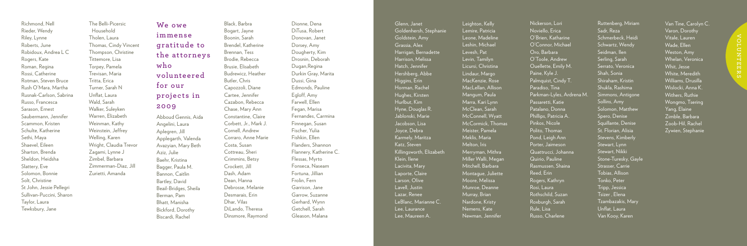Richmond, Nell Rieder, Wendy Riley, Lynne Roberts, June Robidoux, Andrea L C Rogers, Kate Roman, Regina Rossi, Catherine Rotman, Steven Bruce Rush O'Mara, Martha Rusnak-Carlson, Sabrina Russo, Francesca Sarason, Ernest Saubermann, Jennifer Scammon, Kristen Schulte, Katherine Sethi, Maya Shaevel, Eileen Sharton, Brenda Sheldon, Heidsha Slattery, Eve Solomon, Bonnie Solt, Christine St John, Jessie Pellegri Sullivan-Puccini, Sharon Taylor, Laura Tewksbury, Jane

The Belli-Picersic Household Tholen, Laura Thomas, Cindy Vincent Thompson, Christine Tittemore, Lisa Torpey, Pamela Trevisan, Maria Tritta, Erica Turner, Sarah N Unflat, Laura Wald, Sarah Walker, Suleyken Warren, Elizabeth Weinman, Kathy Weinstein, Jeffrey Welling, Karen Wright, Claudia Trevor Zagami, Lynne J Zimbel, Barbara Zimmerman-Diaz, Jill Zurietti, Amanda

**We owe immense gratitude to the at tor neys who volunteered for our projects in 2009** Abboud Gennis, Aida Angelini, Laura Aplegren, Jill Applegarth, Valenda Avazyian, Mary Beth Aziz, Julie Baehr, Kristina Bagger, Paula M. Bannon, Caitlin Bartley, David Beail-Bridges, Sheila Berman, Pam Bhatt, Manisha Bickford, Dorothy Biscardi, Rachel

Black, Barbra Bogart, Jayne Boonin, Sarah Brendel, Katherine Brennan, Tess Brodie, Rebecca Brusie, Elisabeth Budrewicz, Heather Butler, Chris Capozzoli, Diane Cartee, Jennifer Cazabon, Rebecca Chase, Mary Ann Constantine, Claire Corbett, Jr., Mark J. Cornell, Andrew Corraro, Anne Marie Costa, Susan Cottreau, Sheri Crimmins, Betsy Crockett, Jill Dash, Adam Dean, Hanna Debrosse, Melanie Desmarais, Erin Dhar, Vilas DiLando, Theresa Dinsmore, Raymond

Dionne, Dena DiTusa, Robert Donovan, Janet Dorsey, Amy Dougherty, Kim Drosnin, Deborah Dugan,Regina Durkin Gray, Marita Dussi, Gina Edmonds, Pauline Egloff, Amy Farwell, Ellen Fegan, Marisa Fernandes, Carmina Finnegan, Susan Fischer, Yulia Fishkin, Ellen Flanders, Shannon Flannery, Katherine C. Flessas, Myrto Fonseca, Naseam Fortuna, Jillian Frolin, Fern Garrison, Jane Garrow, Suzanne Gerhard, Wynn Getchell, Sarah Gleason, Malana

Glenn, Janet Goldenhersh, Stephanie Goldstein, Amy Grassia, Alex Harrigan, Bernadette Harrison, Melissa Hatch, Jennifer Hershberg, Abbe Higgins, Erin Horman, Rachel Hughes, Kirsten Hurlbut, Kim Hyne, Douglas R. Jablonski, Marie Jacobson, Lisa Joyce, Debra Karmely, Maritza Katz, Steven Killingsworth, Elizabeth Klein, Ilene Lacivita, Mary Laporte, Claire Larson, Olive Lavell, Justin Lazar, Renee LeBlanc, Marianne C. Lee, Laurance Lee, Maureen A.

Leighton, Kelly Lemire, Patricia Leone, Madeline Leshin, Michael Levesh, Pat Levin, Tamilyn Licursi, Christina Lindaur, Margo MacKenzie, Rose MacLellan, Allison Mangum, Paula Marra, Kari Lynn McClean, Sarah McConnell, Wyatt McCormick, Thomas Meister, Pamela Meklis, Maria Melton, Iris Merryman, Mithra Miller Walli, Megan Mitchell, Barbara Montague, Juliette Moore, Melissa Munroe, Deanne Murray, Brian Nardone, Kristy Nemens, Kate Newman, Jennifer

Nickerson, Lori Noviello, Erica O'Brien, Katharine O'Connor, Michael Oro, Barbara O'Toole, Andrew Ouellette, Emily M. Paine, Kyle J. Palmquist, Cindy T. Paradiso, Tina Parkman-Lyles, Ardrena M. Passaretti, Katie Patalano, Donna Phillips, Patricia A. Pinkos, Nicole Polito, Thomas Pond, Leigh Ann Porter, Jaimeson Quattrucci, Johanna Quirio, Pauline Rasmussen, Shaina Reed, Erin Rogers, Kathryn Rosi, Laura Rothschild, Suzan Roxburgh, Sarah Rule, Lisa Russo, Charlene

Ruttenberg, Miriam Sadr, Reza Schmerbeck, Heidi Schwartz, Wendy Seidman, Ilen Serling, Sarah Serrato, Veronica Shah, Sonia Shiraham, Kristin Shukla, Rashima Simmons, Antigone Sollins, Amy Solomon, Matthew Spero, Denise Squillante, Denise St. Florian, Alisia Stevens, Kimberly Stewart, Lynn Stewart, Nikki Stone-Turesky, Gayle Strasser, Carrie Tobias, Allison Tonko, Peter Tripp, Jessica Tsizer , Elena Tzambazakis, Mary Unflat, Laura Van Kooy, Karen

Van Tine, Carolyn C. Varon, Dorothy Vitale, Lauren Wade, Ellen Weston, Amy Whelan, Veronica Whit, Jesse White, Meredith Williams, Drusilla Wislocki, Anna K. Withers, Ruthie Wongmo, Tsering Yang, Elaine Zimble, Barbara Zoob-Hil, Rachel Zywien, Stephanie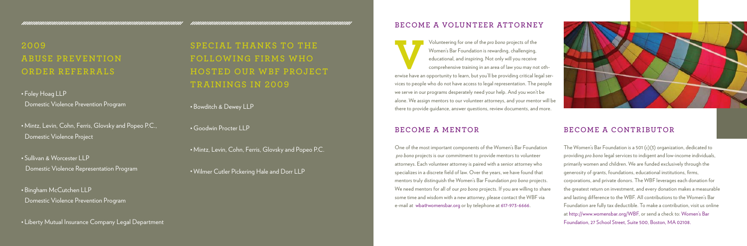## **Become a Volunteer Attorney**

Volunteering for one of the *pro bono* projects of the Women's Bar Foundation is rewarding, challenging, educational, and inspiring. Not only will you receive comprehensive training in an area of law you may not otherwise Women's Bar Foundation is rewarding, challenging, educational, and inspiring. Not only will you receive comprehensive training in an area of law you may not othvices to people who do not have access to legal representation. The people we serve in our programs desperately need your help. And you won't be alone. We assign mentors to our volunteer attorneys, and your mentor will be there to provide guidance, answer questions, review documents, and more.

## **Become a Mentor**

One of the most important components of the Women's Bar Foundation *pro bono* projects is our commitment to provide mentors to volunteer attorneys. Each volunteer attorney is paired with a senior attorney who specializes in a discrete field of law. Over the years, we have found that mentors truly distinguish the Women's Bar Foundation *pro bono* projects. We need mentors for all of our *pro bono* projects. If you are willing to share some time and wisdom with a new attorney, please contact the WBF via e-mail at wba@womensbar.org or by telephone at 617-973-6666.



## **Become a Contributor**

The Women's Bar Foundation is a 501 (c)(3) organization, dedicated to providing *pro bono* legal services to indigent and low-income individuals, primarily women and children. We are funded exclusively through the generosity of grants, foundations, educational institutions, firms, corporations, and private donors. The WBF leverages each donation for the greatest return on investment, and every donation makes a measurable and lasting difference to the WBF. All contributions to the Women's Bar Foundation are fully tax deductible. To make a contribution, visit us online at http://www.womensbar.org/WBF, or send a check to: Women's Bar Foundation, 27 School Street, Suite 500, Boston, MA 02108.

**2009 Abuse Prevention Order Referrals**

• Foley Hoag LLP Domestic Violence Prevention Program

• Mintz, Levin, Cohn, Ferris, Glovsky and Popeo P.C., Domestic Violence Project

• Sullivan & Worcester LLP Domestic Violence Representation Program

• Bingham McCutchen LLP Domestic Violence Prevention Program

• Liberty Mutual Insurance Company Legal Department

**Special thanks to the following firms who hosted our W BF Project trainings in 2009**

• Bowditch & Dewey LLP

• Goodwin Procter LLP

• Mintz, Levin, Cohn, Ferris, Glovsky and Popeo P.C.

• Wilmer Cutler Pickering Hale and Dorr LLP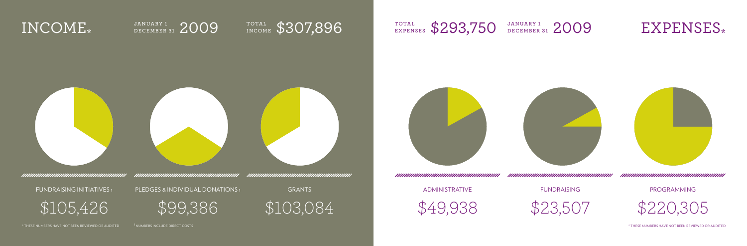



1 \$49,938

pledges & individual donations <sup>1</sup>

**GRANTS** 







fundraising

**PROGRAMMING** 

1 \$23,507

\$103,084

\$220,305









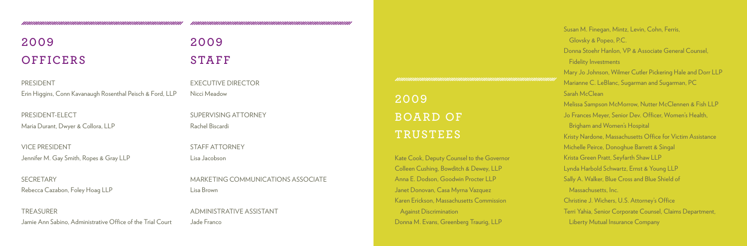# **2009 Officers**

**PRESIDENT** Erin Higgins, Conn Kavanaugh Rosenthal Peisch & Ford, LLP

President-Elect Maria Durant, Dwyer & Collora, LLP

**SECRETARY** Rebecca Cazabon, Foley Hoag LLP

**TREASURER** Jamie Ann Sabino, Administrative Office of the Trial Court

# **2009** STAFF

Vice President Jennifer M. Gay Smith, Ropes & Gray LLP Executive Director Nicci Meadow

Supervising Attorney Rachel Biscardi

Staff Attorney Lisa Jacobson

Marketing Communications Associate Lisa Brown

Administrative Assistant Jade Franco

**2009 Board of Trustees**

Kate Cook, Deputy Counsel to the Governor Colleen Cushing, Bowditch & Dewey, LLP Anna E. Dodson, Goodwin Procter LLP Janet Donovan, Casa Myrna Vazquez Karen Erickson, Massachusetts Commission Against Discrimination Donna M. Evans, Greenberg Traurig, LLP

Susan M. Finegan, Mintz, Levin, Cohn, Ferris, Glovsky & Popeo, P.C. Donna Stoehr Hanlon, VP & Associate General Counsel, Fidelity Investments Mary Jo Johnson, Wilmer Cutler Pickering Hale and Dorr LLP Marianne C. LeBlanc, Sugarman and Sugarman, PC Sarah McClean Melissa Sampson McMorrow, Nutter McClennen & Fish LLP Jo Frances Meyer, Senior Dev. Officer, Women's Health, Brigham and Women's Hospital Kristy Nardone, Massachusetts Office for Victim Assistance Michelle Peirce, Donoghue Barrett & Singal Krista Green Pratt, Seyfarth Shaw LLP Lynda Harbold Schwartz, Ernst & Young LLP Sally A. Walker, Blue Cross and Blue Shield of Massachusetts, Inc. Christine J. Wichers, U.S. Attorney's Office Terri Yahia, Senior Corporate Counsel, Claims Department, Liberty Mutual Insurance Company